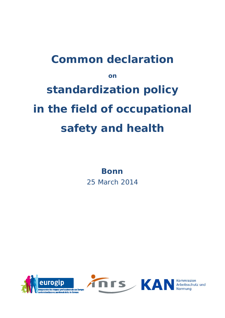# **Common declaration on standardization policy in the field of occupational safety and health**

**Bonn** 

25 March 2014



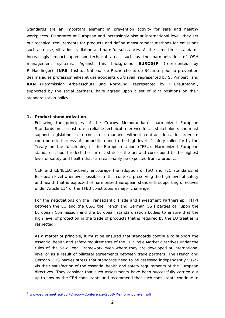Standards are an important element in prevention activity for safe and healthy workplaces. Elaborated at European and increasingly also at international level, they set out technical requirements for products and define measurement methods for emissions such as noise, vibration, radiation and harmful substances. At the same time, standards increasingly impact upon non-technical areas such as the harmonization of OSH management systems. Against this background **EUROGIP** (represented by R. Haeflinger), **INRS** (Institut National de Recherche et de Sécurité pour la prévention des maladies professionnelles et des accidents du travail, represented by S. Pimbert) and **KAN** (Kommission Arbeitsschutz und Normung, represented by N. Breutmann), supported by the social partners, have agreed upon a set of joint positions on their standardization policy.

#### **1. Product standardization**

Following the principles of the Cracow Memorandum<sup>1</sup>, harmonized European Standards must constitute a reliable technical reference for all stakeholders and must support legislation in a consistent manner, without contradictions, in order to contribute to fairness of competition and to the high level of safety called for by the Treaty on the functioning of the European Union (TFEU). Harmonized European standards should reflect the current state of the art and correspond to the highest level of safety and health that can reasonably be expected from a product.

CEN and CENELEC actively encourage the adoption of ISO and IEC standards at European level whenever possible. In this context, preserving the high level of safety and health that is expected of harmonized European standards supporting directives under Article 114 of the TFEU constitutes a major challenge.

For the negotiations on the Transatlantic Trade and Investment Partnership (TTIP) between the EU and the USA, the French and German OSH parties call upon the European Commission and the European standardization bodies to ensure that the high level of protection in the trade of products that is required by the EU treaties is respected.

As a matter of principle, it must be ensured that standards continue to support the essential health and safety requirements of the EU Single Market directives under the rules of the New Legal Framework even where they are developed at international level or as a result of bilateral agreements between trade partners. The French and German OHS parties stress that standards need to be assessed independently vis-àvis their satisfaction of the essential health and safety requirements of the European directives. They consider that such assessments have been successfully carried out up to now by the CEN consultants and recommend that such consultants continue to

j

<sup>1</sup> www.euroshnet.eu/pdf/Cracow-Conference-2008/Memorandum-en.pdf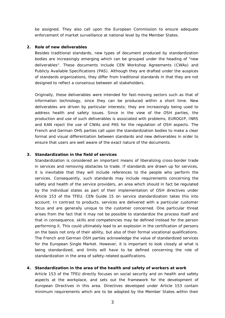be assigned. They also call upon the European Commission to ensure adequate enforcement of market surveillance at national level by the Member States.

#### **2. Role of new deliverables**

Besides traditional standards, new types of document produced by standardization bodies are increasingly emerging which can be grouped under the heading of "new deliverables". These documents include CEN Workshop Agreements (CWAs) and Publicly Available Specifications (PAS). Although they are drafted under the auspices of standards organizations, they differ from traditional standards in that they are not designed to reflect a consensus between all stakeholders.

Originally, these deliverables were intended for fast-moving sectors such as that of information technology, since they can be produced within a short time. New deliverables are driven by particular interests; they are increasingly being used to address health and safety issues. Since in the view of the OSH parties, the production and use of such deliverables is associated with problems, EUROGIP, INRS and KAN reject the use of CWAs and PAS for the regulation of OSH aspects. The French and German OHS parties call upon the standardization bodies to make a clear formal and visual differentiation between standards and new deliverables in order to ensure that users are well aware of the exact nature of the documents.

### **3. Standardization in the field of services**

Standardization is considered an important means of liberalizing cross-border trade in services and removing obstacles to trade. If standards are drawn up for services, it is inevitable that they will include references to the people who perform the services. Consequently, such standards may include requirements concerning the safety and health of the service providers, an area which should in fact be regulated by the individual states as part of their implementation of OSH directives under Article 153 of the TFEU. CEN Guide 15 on service standardization takes this into account. In contrast to products, services are delivered with a particular customer focus and are generally unique to the customer concerned. One particular threat arises from the fact that it may not be possible to standardize the process itself and that in consequence, skills and competencies may be defined instead for the person performing it. This could ultimately lead to an explosion in the certification of persons on the basis not only of their ability, but also of their formal vocational qualifications. The French and German OSH parties acknowledge the value of standardized services for the European Single Market. However, it is important to look closely at what is being standardized, and limits will have to be defined concerning the role of standardization in the area of safety-related qualifications.

### **4. Standardization in the area of the health and safety of workers at work**

Article 153 of the TFEU directly focuses on social security and on health and safety aspects at the workplace, and sets out the framework for the development of European Directives in this area. Directives developed under Article 153 contain minimum requirements which are to be adopted by the Member States within their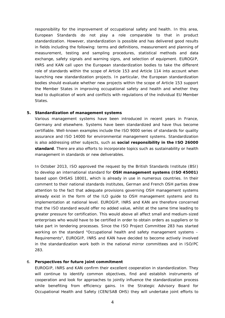responsibility for the improvement of occupational safety and health. In this area, European Standards do not play a role comparable to that in product standardization. However, standardization is possible and has delivered good results in fields including the following: terms and definitions, measurement and planning of measurement, testing and sampling procedures, statistical methods and data exchange, safety signals and warning signs, and selection of equipment. EUROGIP, INRS and KAN call upon the European standardization bodies to take the different role of standards within the scope of Article 153 and Article 114 into account when launching new standardization projects. In particular, the European standardization bodies should evaluate whether new projects within the scope of Article 153 support the Member States in improving occupational safety and health and whether they lead to duplication of work and conflicts with regulations of the individual EU Member States.

#### **5. Standardization of management systems**

Various management systems have been introduced in recent years in France, Germany and elsewhere. Systems have been standardized and have thus become certifiable. Well-known examples include the ISO 9000 series of standards for quality assurance and ISO 14000 for environmental management systems. Standardization is also addressing other subjects, such as **social responsibility in the ISO 26000 standard**. There are also efforts to incorporate topics such as sustainability or health management in standards or new deliverables.

In October 2013, ISO approved the request by the British Standards Institute (BSI) to develop an international standard for **OSH management systems (ISO 45001)** based upon OHSAS 18001, which is already in use in numerous countries. In their comment to their national standards institutes, German and French OSH parties drew attention to the fact that adequate provisions governing OSH management systems already exist in the form of the ILO guide to OSH management systems and its implementation at national level. EUROGIP, INRS and KAN are therefore concerned that the ISO standard would offer no added value, whilst at the same time leading to greater pressure for certification. This would above all affect small and medium-sized enterprises who would have to be certified in order to obtain orders as suppliers or to take part in tendering processes. Since the ISO Project Committee 283 has started working on the standard "Occupational health and safety management systems – Requirements", EUROGIP, INRS and KAN have decided to become actively involved in the standardization work both in the national mirror committees and in ISO/PC 283.

### 6. **Perspectives for future joint commitment**

EUROGIP, INRS and KAN confirm their excellent cooperation in standardization. They will continue to identify common objectives, find and establish instruments of cooperation and look for approaches to jointly influence the standardization process while benefiting from efficiency gains. In the Strategic Advisory Board for Occupational Health and Safety (CEN/SAB OHS) they will undertake joint efforts to